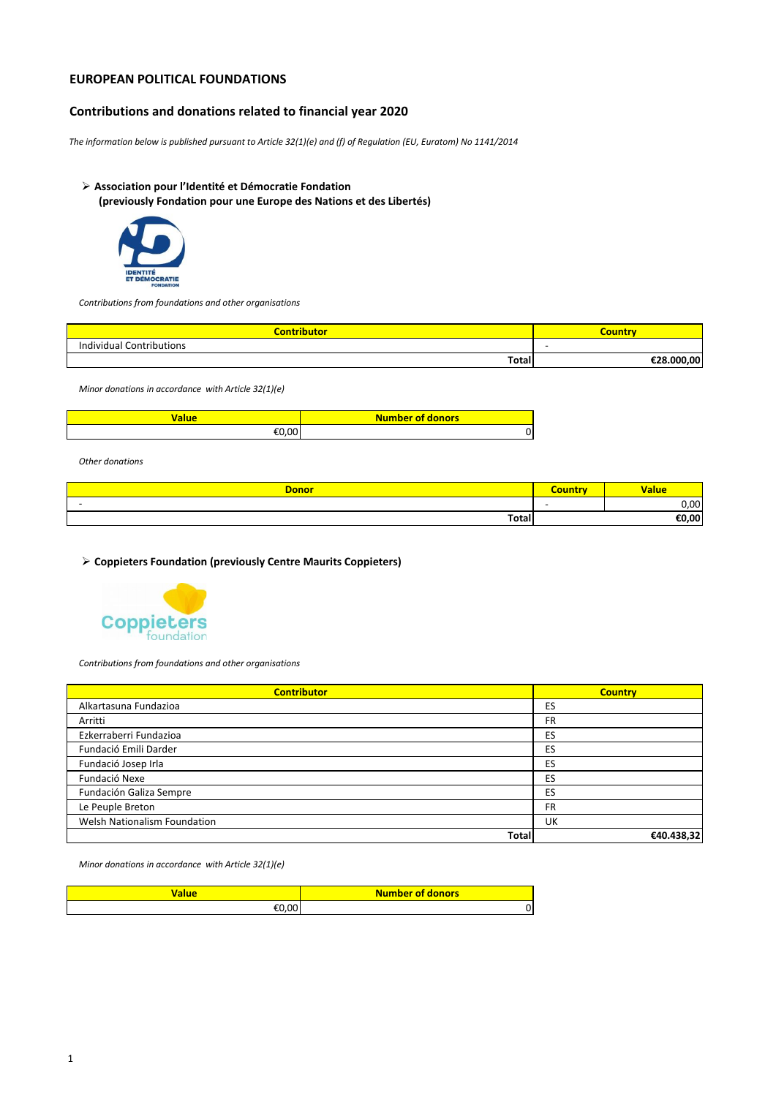## **EUROPEAN POLITICAL FOUNDATIONS**

### **Contributions and donations related to financial year 2020**

*The information below is published pursuant to Article 32(1)(e) and (f) of Regulation (EU, Euratom) No 1141/2014* 

# **Association pour l'Identité et Démocratie Fondation**

**(previously Fondation pour une Europe des Nations et des Libertés)**



*Contributions from foundations and other organisations* 

| Contributo               | :ounti         |
|--------------------------|----------------|
| Individual Contributions | -              |
| Total                    | .000.00<br>c٦o |

*Minor donations in accordance with Article 32(1)(e)*

| <b><i>l</i>alue</b> | <b>Number of donors</b> |
|---------------------|-------------------------|
| nn i                |                         |

*Other donations*

| <b>Donor</b> | <b><i><u>Accessory</u></i></b> | alue - |
|--------------|--------------------------------|--------|
|              |                                | 0,00   |
| Total        |                                | €0,00  |

**Coppieters Foundation (previously Centre Maurits Coppieters)** 



*Contributions from foundations and other organisations* 

| <b>Contributor</b>           | <b>Country</b> |
|------------------------------|----------------|
| Alkartasuna Fundazioa        | ES             |
| Arritti                      | FR             |
| Ezkerraberri Fundazioa       | ES             |
| Fundació Emili Darder        | ES             |
| Fundació Josep Irla          | ES             |
| Fundació Nexe                | ES             |
| Fundación Galiza Sempre      | ES             |
| Le Peuple Breton             | FR             |
| Welsh Nationalism Foundation | UK             |
| <b>Total</b>                 | €40.438,32     |

*Minor donations in accordance with Article 32(1)(e)*

| alue        | <b>Number of donors</b> |
|-------------|-------------------------|
| n<br>$\sim$ | U                       |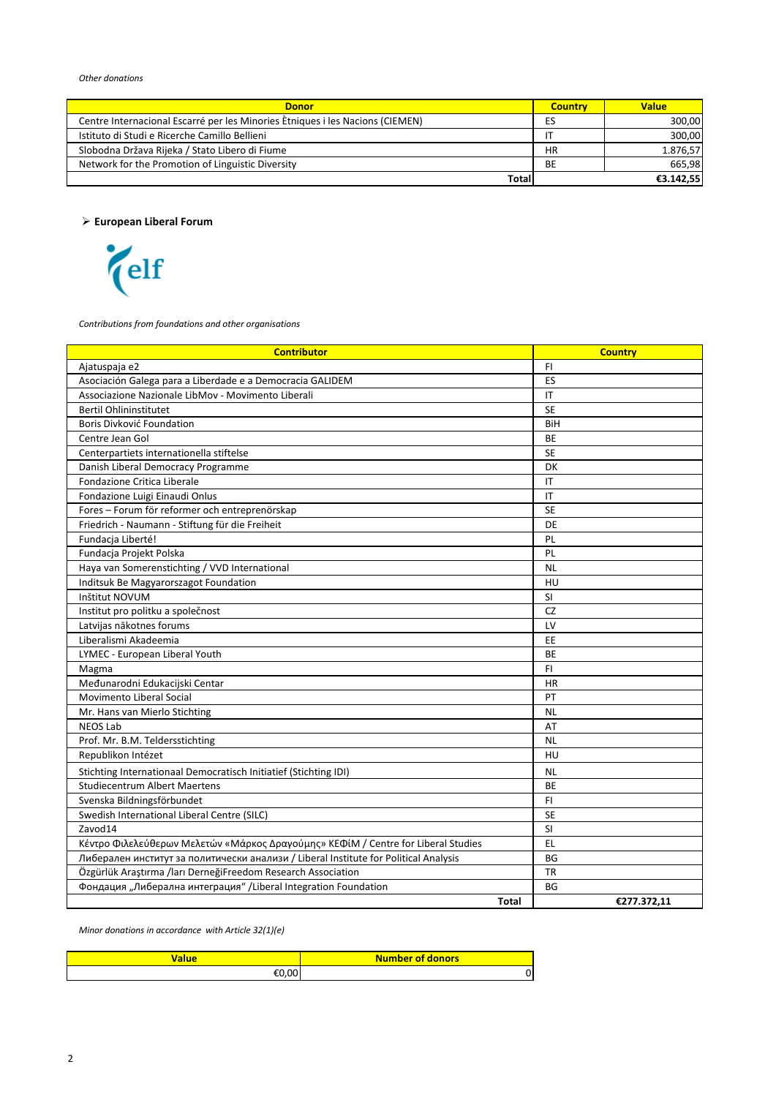| <b>Donor</b>                                                                  | <b>Country</b> | Value     |
|-------------------------------------------------------------------------------|----------------|-----------|
| Centre Internacional Escarré per les Minories Etniques i les Nacions (CIEMEN) | ES             | 300,00    |
| Istituto di Studi e Ricerche Camillo Bellieni                                 |                | 300.00    |
| Slobodna Država Rijeka / Stato Libero di Fiume                                | HR             | 1.876,57  |
| Network for the Promotion of Linguistic Diversity                             | BE             | 665.98    |
| Total                                                                         |                | €3.142.55 |

**European Liberal Forum**



*Contributions from foundations and other organisations* 

| <b>Contributor</b>                                                                   | <b>Country</b> |
|--------------------------------------------------------------------------------------|----------------|
| Ajatuspaja e2                                                                        | FI.            |
| Asociación Galega para a Liberdade e a Democracia GALIDEM                            | ES             |
| Associazione Nazionale LibMov - Movimento Liberali                                   | IT             |
| <b>Bertil Ohlininstitutet</b>                                                        | <b>SE</b>      |
| Boris Divković Foundation                                                            | BiH            |
| Centre Jean Gol                                                                      | BE             |
| Centerpartiets internationella stiftelse                                             | <b>SE</b>      |
| Danish Liberal Democracy Programme                                                   | DK             |
| Fondazione Critica Liberale                                                          | IT             |
| Fondazione Luigi Einaudi Onlus                                                       | IT             |
| Fores - Forum för reformer och entreprenörskap                                       | <b>SE</b>      |
| Friedrich - Naumann - Stiftung für die Freiheit                                      | DE             |
| Fundacja Liberté!                                                                    | PL             |
| Fundacja Projekt Polska                                                              | PL             |
| Haya van Somerenstichting / VVD International                                        | <b>NL</b>      |
| Inditsuk Be Magyarorszagot Foundation                                                | HU             |
| Inštitut NOVUM                                                                       | <b>SI</b>      |
| Institut pro politku a společnost                                                    | <b>CZ</b>      |
| Latvijas nākotnes forums                                                             | LV             |
| Liberalismi Akadeemia                                                                | EE             |
| LYMEC - European Liberal Youth                                                       | <b>BE</b>      |
| Magma                                                                                | F1             |
| Međunarodni Edukacijski Centar                                                       | <b>HR</b>      |
| Movimento Liberal Social                                                             | PT             |
| Mr. Hans van Mierlo Stichting                                                        | <b>NL</b>      |
| <b>NEOS Lab</b>                                                                      | AT             |
| Prof. Mr. B.M. Teldersstichting                                                      | <b>NL</b>      |
| Republikon Intézet                                                                   | HU             |
| Stichting Internationaal Democratisch Initiatief (Stichting IDI)                     | <b>NL</b>      |
| <b>Studiecentrum Albert Maertens</b>                                                 | <b>BE</b>      |
| Svenska Bildningsförbundet                                                           | F1             |
| Swedish International Liberal Centre (SILC)                                          | <b>SE</b>      |
| Zavod14                                                                              | SI             |
| Κέντρο Φιλελεύθερων Μελετών «Μάρκος Δραγούμης» ΚΕΦίΜ / Centre for Liberal Studies    | EL.            |
| Либерален институт за политически анализи / Liberal Institute for Political Analysis | <b>BG</b>      |
| Özgürlük Araştırma /ları DerneğiFreedom Research Association                         | <b>TR</b>      |
| Фондация "Либерална интеграция" /Liberal Integration Foundation                      | BG             |
| <b>Total</b>                                                                         | €277.372,11    |

*Minor donations in accordance with Article 32(1)(e)*

| alue  | <b>Number of donors</b> |
|-------|-------------------------|
| €N UU |                         |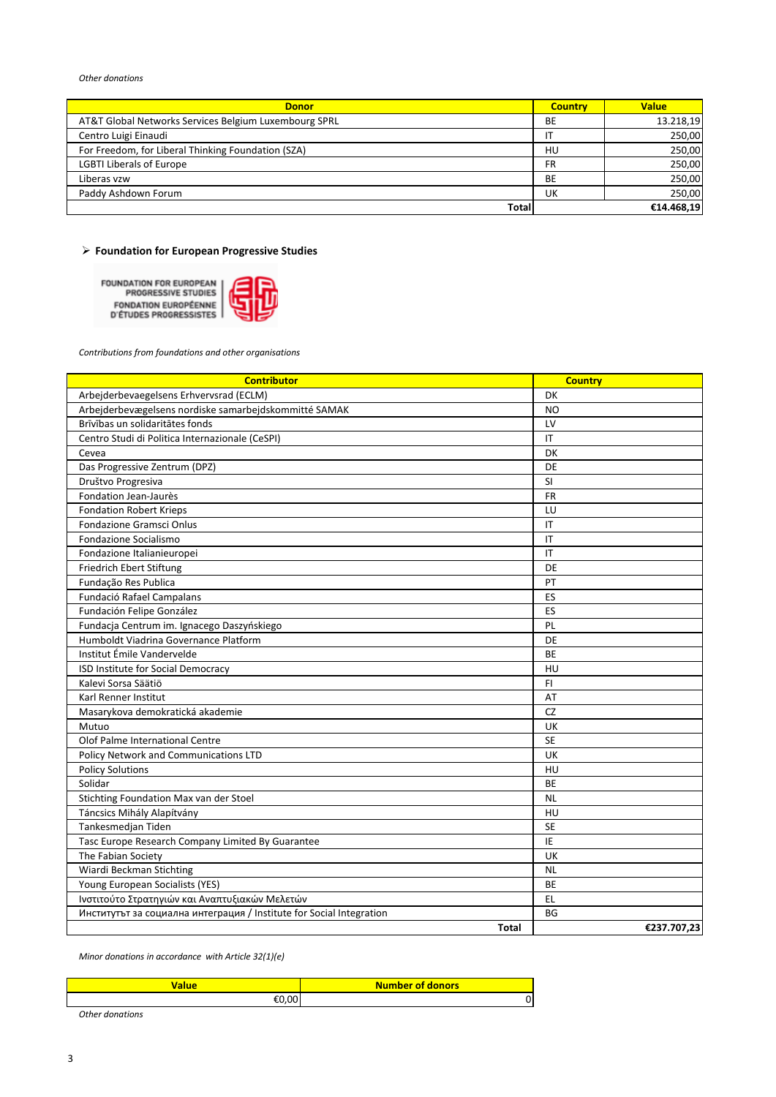#### *Other donations*

| <b>Donor</b>                                          | <b>Country</b> | <b>Value</b> |
|-------------------------------------------------------|----------------|--------------|
| AT&T Global Networks Services Belgium Luxembourg SPRL | BE             | 13.218,19    |
| Centro Luigi Einaudi                                  |                | 250,00       |
| For Freedom, for Liberal Thinking Foundation (SZA)    | HU             | 250,00       |
| <b>LGBTI Liberals of Europe</b>                       | FR             | 250,00       |
| Liberas vzw                                           | BE             | 250.00       |
| Paddy Ashdown Forum                                   | UK             | 250,00       |
| Total                                                 |                | €14.468,19   |

## **Foundation for European Progressive Studies**

FOUNDATION FOR EUROPEAN<br>PROGRESSIVE STUDIES FONDATION EUROPÉENNE<br>D'ÉTUDES PROGRESSISTES



*Contributions from foundations and other organisations* 

| <b>Contributor</b>                                                   | <b>Country</b>         |
|----------------------------------------------------------------------|------------------------|
| Arbejderbevaegelsens Erhvervsrad (ECLM)                              | DK                     |
| Arbejderbevægelsens nordiske samarbejdskommitté SAMAK                | <b>NO</b>              |
| Brīvības un solidaritātes fonds                                      | LV                     |
| Centro Studi di Politica Internazionale (CeSPI)                      | IT                     |
| Cevea                                                                | DK                     |
| Das Progressive Zentrum (DPZ)                                        | DE                     |
| Društvo Progresiva                                                   | SI                     |
| Fondation Jean-Jaurès                                                | <b>FR</b>              |
| <b>Fondation Robert Krieps</b>                                       | LU                     |
| Fondazione Gramsci Onlus                                             | $\mathsf{I}\mathsf{T}$ |
| Fondazione Socialismo                                                | IT                     |
| Fondazione Italianieuropei                                           | IT                     |
| Friedrich Ebert Stiftung                                             | DE                     |
| Fundação Res Publica                                                 | PT                     |
| Fundació Rafael Campalans                                            | ES                     |
| Fundación Felipe González                                            | ES                     |
| Fundacja Centrum im. Ignacego Daszyńskiego                           | PL                     |
| Humboldt Viadrina Governance Platform                                | DE                     |
| Institut Émile Vandervelde                                           | BE                     |
| ISD Institute for Social Democracy                                   | HU                     |
| Kalevi Sorsa Säätiö                                                  | F1                     |
| Karl Renner Institut                                                 | AT                     |
| Masarykova demokratická akademie                                     | <b>CZ</b>              |
| Mutuo                                                                | UK                     |
| Olof Palme International Centre                                      | <b>SE</b>              |
| Policy Network and Communications LTD                                | UK                     |
| <b>Policy Solutions</b>                                              | HU                     |
| Solidar                                                              | <b>BE</b>              |
| Stichting Foundation Max van der Stoel                               | <b>NL</b>              |
| Táncsics Mihály Alapítvány                                           | HU                     |
| Tankesmedjan Tiden                                                   | <b>SE</b>              |
| Tasc Europe Research Company Limited By Guarantee                    | IE                     |
| The Fabian Society                                                   | UK                     |
| Wiardi Beckman Stichting                                             | <b>NL</b>              |
| Young European Socialists (YES)                                      | BE                     |
| Ινστιτούτο Στρατηγιών και Αναπτυξιακών Μελετών                       | EL.                    |
| Институтът за социална интеграция / Institute for Social Integration | BG                     |
| <b>Total</b>                                                         | €237.707,23            |

*Minor donations in accordance with Article 32(1)(e)*

| 'alue | <b>Number of donors</b> |
|-------|-------------------------|
| en nn | J۱                      |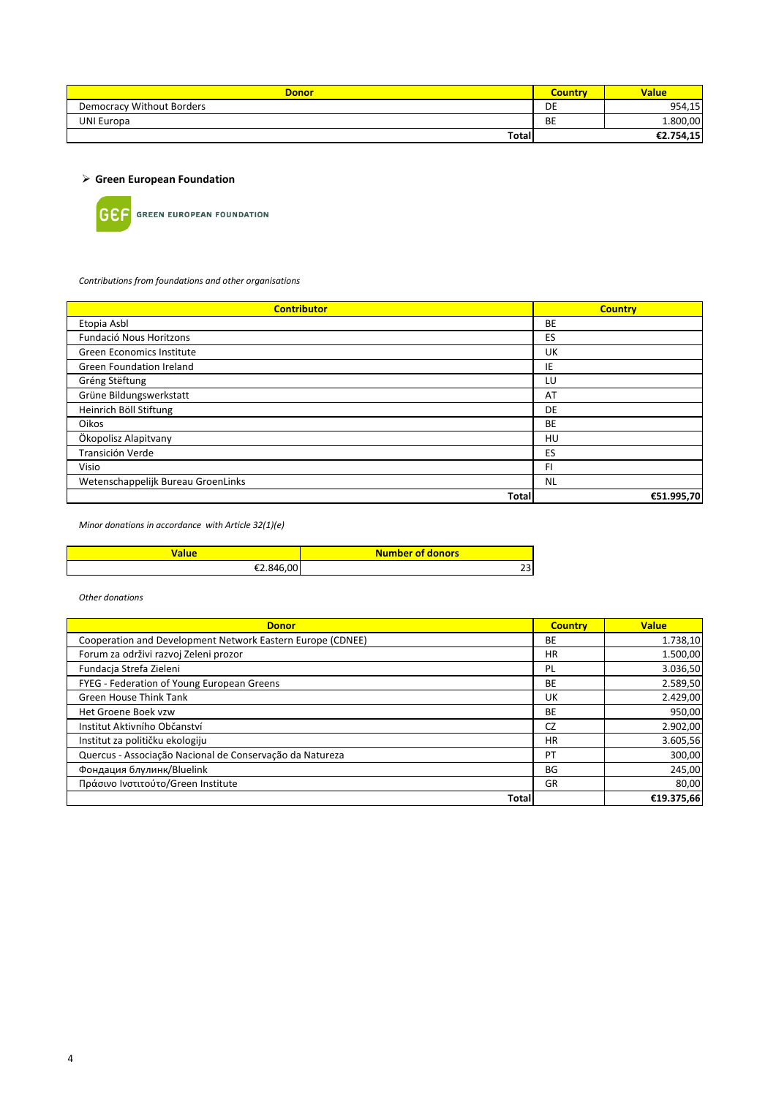| <b>Donor</b>                     | <b>Country</b> | <b>Value</b> |
|----------------------------------|----------------|--------------|
| <b>Democracy Without Borders</b> | DE             | 954,15       |
| <b>UNI Europa</b>                | <b>BE</b>      | 1.800,00     |
| <b>Total</b>                     |                | €2.754,15    |

 **Green European Foundation**



**GEF** GREEN EUROPEAN FOUNDATION

*Contributions from foundations and other organisations* 

| <b>Contributor</b>                 | <b>Country</b> |
|------------------------------------|----------------|
| Etopia Asbl                        | BE             |
| Fundació Nous Horitzons            | ES             |
| Green Economics Institute          | UK             |
| Green Foundation Ireland           | IE             |
| Gréng Stëftung                     | LU             |
| Grüne Bildungswerkstatt            | AT             |
| Heinrich Böll Stiftung             | DE             |
| Oikos                              | BE             |
| Ökopolisz Alapitvany               | HU             |
| Transición Verde                   | ES             |
| Visio                              | FI             |
| Wetenschappelijk Bureau GroenLinks | <b>NL</b>      |
| Total                              | €51.995,70     |

*Minor donations in accordance with Article 32(1)(e)*

| alue/     | <b>Number of donors</b> |
|-----------|-------------------------|
| €2.846.00 | ~~<br>23                |

| <b>Donor</b>                                               | <b>Country</b> | <b>Value</b> |
|------------------------------------------------------------|----------------|--------------|
| Cooperation and Development Network Eastern Europe (CDNEE) | BE             | 1.738,10     |
| Forum za održivi razvoj Zeleni prozor                      | <b>HR</b>      | 1.500,00     |
| Fundacia Strefa Zieleni                                    | PL             | 3.036,50     |
| FYEG - Federation of Young European Greens                 | BE             | 2.589,50     |
| <b>Green House Think Tank</b>                              | UK             | 2.429,00     |
| Het Groene Boek vzw                                        | BE             | 950,00       |
| Institut Aktivního Občanství                               | CZ             | 2.902,00     |
| Institut za političku ekologiju                            | <b>HR</b>      | 3.605,56     |
| Quercus - Associação Nacional de Conservação da Natureza   | PT             | 300,00       |
| Фондация блулинк/Bluelink                                  | BG             | 245,00       |
| Πράσινο Ινστιτούτο/Green Institute                         | GR             | 80,00        |
| <b>Total</b>                                               |                | €19.375,66   |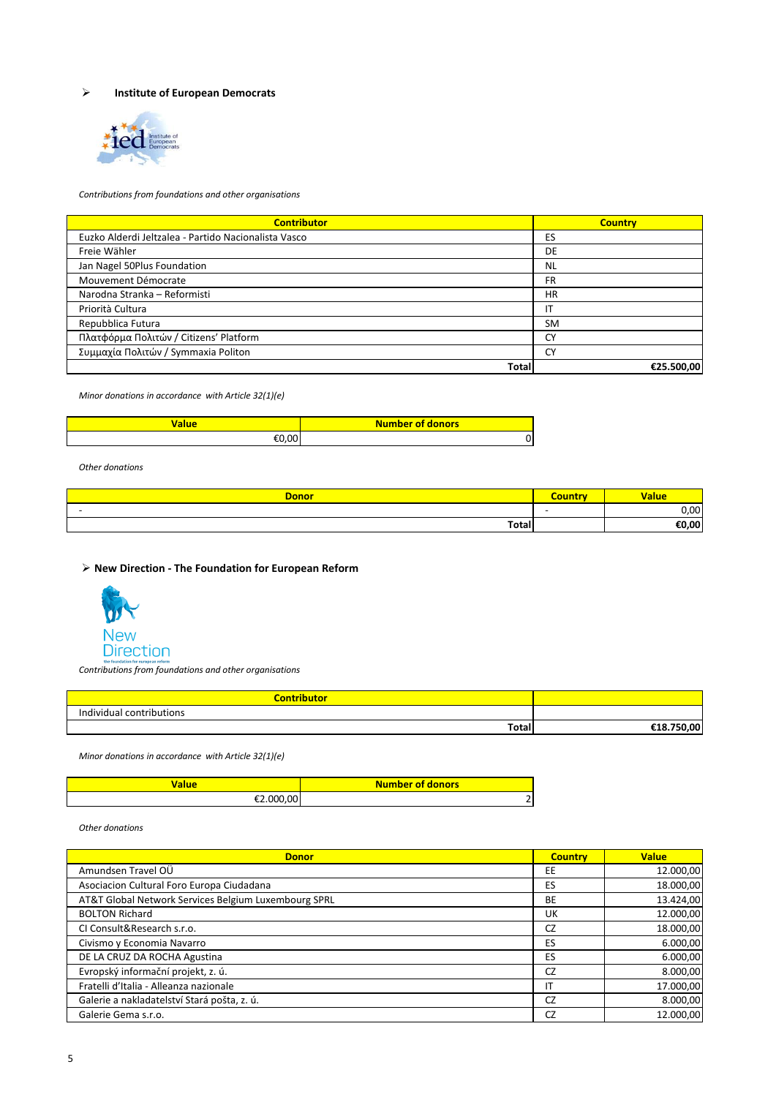## **Institute of European Democrats**



*Contributions from foundations and other organisations* 

| <b>Contributor</b>                                   | <b>Country</b> |
|------------------------------------------------------|----------------|
| Euzko Alderdi Jeltzalea - Partido Nacionalista Vasco | ES             |
| Freie Wähler                                         | DE             |
| Jan Nagel 50Plus Foundation                          | <b>NL</b>      |
| Mouvement Démocrate                                  | FR             |
| Narodna Stranka - Reformisti                         | <b>HR</b>      |
| Priorità Cultura                                     | ΙT             |
| Repubblica Futura                                    | <b>SM</b>      |
| Πλατφόρμα Πολιτών / Citizens' Platform               | <b>CY</b>      |
| Συμμαχία Πολιτών / Symmaxia Politon                  | CY             |
| Total                                                | €25.500,00     |

*Minor donations in accordance with Article 32(1)(e)*

| alue | Number of donors |
|------|------------------|
| ገ በበ |                  |

*Other donations*

| <b>Donor</b> |     | <b>Malue</b> |
|--------------|-----|--------------|
| -            | . . | 0,00         |
| <b>Total</b> |     | €0,00        |

**New Direction - The Foundation for European Reform**



*Contributions from foundations and other organisations* 

| <b>Contributor</b>       |        |
|--------------------------|--------|
| Individual contributions |        |
| <b>Total</b>             | 750.00 |

*Minor donations in accordance with Article 32(1)(e)*

| <b>Value</b> | <b>Number of donors</b> |
|--------------|-------------------------|
| nnn nn       | -                       |

| <b>Donor</b>                                         | <b>Country</b> | <b>Value</b> |
|------------------------------------------------------|----------------|--------------|
| Amundsen Travel OÜ                                   | EE             | 12.000,00    |
| Asociacion Cultural Foro Europa Ciudadana            | ES             | 18.000,00    |
| AT&T Global Network Services Belgium Luxembourg SPRL | BE             | 13.424,00    |
| <b>BOLTON Richard</b>                                | UK             | 12.000,00    |
| CI Consult&Research s.r.o.                           | CZ             | 18.000,00    |
| Civismo y Economia Navarro                           | ES             | 6.000,00     |
| DE LA CRUZ DA ROCHA Agustina                         | ES             | 6.000,00     |
| Evropský informační projekt, z. ú.                   | CZ             | 8.000,00     |
| Fratelli d'Italia - Alleanza nazionale               | ΙT             | 17.000,00    |
| Galerie a nakladatelství Stará pošta, z. ú.          | CZ             | 8.000,00     |
| Galerie Gema s.r.o.                                  | CZ             | 12.000,00    |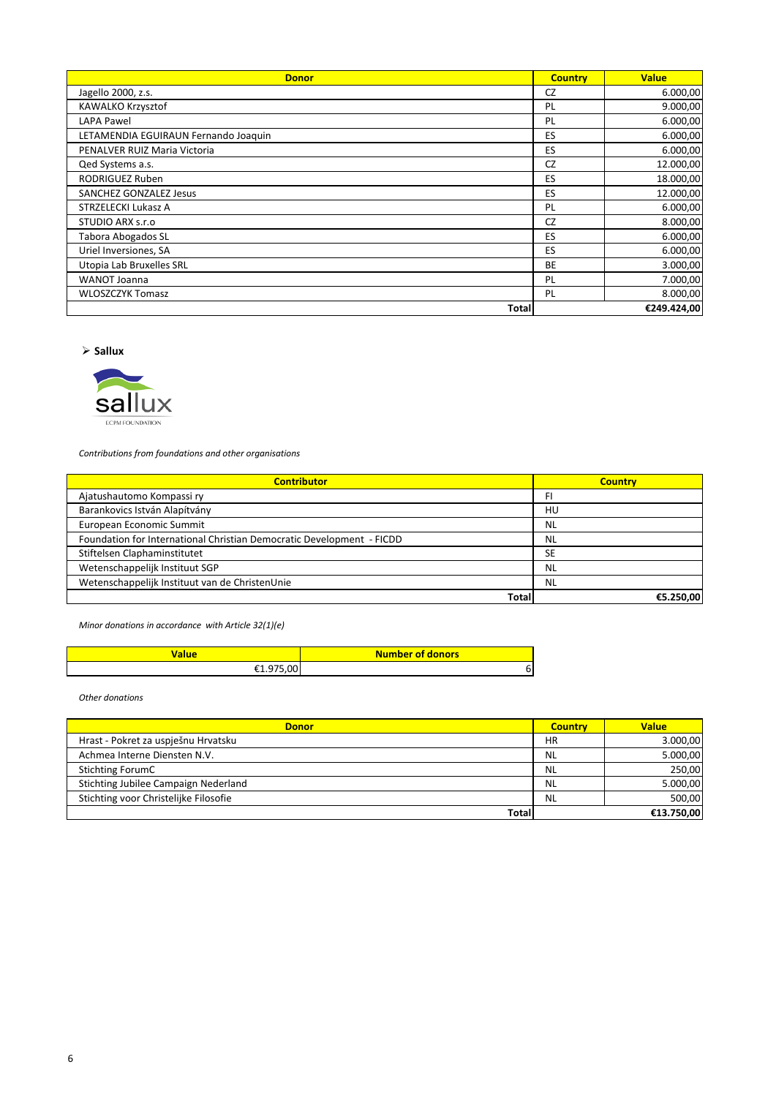| <b>Donor</b>                         | <b>Country</b> | <b>Value</b> |
|--------------------------------------|----------------|--------------|
| Jagello 2000, z.s.                   | CZ             | 6.000,00     |
| KAWALKO Krzysztof                    | PL             | 9.000,00     |
| LAPA Pawel                           | PL             | 6.000,00     |
| LETAMENDIA EGUIRAUN Fernando Joaquin | ES             | 6.000,00     |
| PENALVER RUIZ Maria Victoria         | ES             | 6.000,00     |
| Qed Systems a.s.                     | <b>CZ</b>      | 12.000,00    |
| <b>RODRIGUEZ Ruben</b>               | ES             | 18.000,00    |
| SANCHEZ GONZALEZ Jesus               | ES             | 12.000,00    |
| STRZELECKI Lukasz A                  | PL             | 6.000,00     |
| STUDIO ARX s.r.o                     | <b>CZ</b>      | 8.000,00     |
| Tabora Abogados SL                   | ES             | 6.000,00     |
| Uriel Inversiones, SA                | <b>ES</b>      | 6.000,00     |
| Utopia Lab Bruxelles SRL             | <b>BE</b>      | 3.000,00     |
| <b>WANOT Joanna</b>                  | PL             | 7.000,00     |
| <b>WLOSZCZYK Tomasz</b>              | PL             | 8.000,00     |
| Totall                               |                | €249.424,00  |

**Sallux**



*Contributions from foundations and other organisations* 

| <b>Contributor</b>                                                    | <b>Country</b> |
|-----------------------------------------------------------------------|----------------|
| Ajatushautomo Kompassi ry                                             | FI             |
| Barankovics István Alapítvány                                         | HU             |
| European Economic Summit                                              | <b>NL</b>      |
| Foundation for International Christian Democratic Development - FICDD | <b>NL</b>      |
| Stiftelsen Claphaminstitutet                                          | <b>SE</b>      |
| Wetenschappelijk Instituut SGP                                        | <b>NL</b>      |
| Wetenschappelijk Instituut van de ChristenUnie                        | <b>NL</b>      |
| Total                                                                 | €5.250.00      |

*Minor donations in accordance with Article 32(1)(e)*

| alue    | Number of donors |
|---------|------------------|
| nn<br>ີ |                  |

| <b>Donor</b>                          | <b>Country</b> | <b>Value</b> |
|---------------------------------------|----------------|--------------|
| Hrast - Pokret za uspješnu Hrvatsku   | <b>HR</b>      | 3.000,00     |
| Achmea Interne Diensten N.V.          | <b>NL</b>      | 5.000,00     |
| Stichting ForumC                      | <b>NL</b>      | 250,00       |
| Stichting Jubilee Campaign Nederland  | <b>NL</b>      | 5.000,00     |
| Stichting voor Christelijke Filosofie | <b>NL</b>      | 500.00       |
| Total                                 |                | €13.750.00   |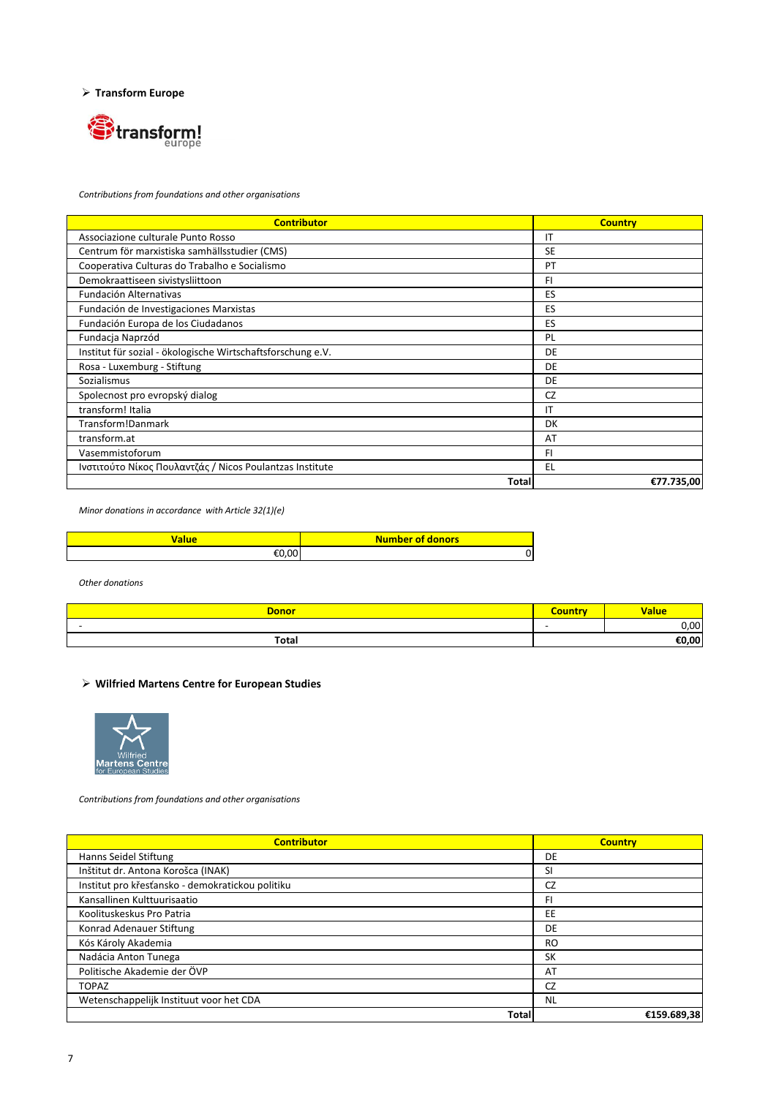**Transform Europe**



*Contributions from foundations and other organisations* 

| <b>Contributor</b>                                          | <b>Country</b> |
|-------------------------------------------------------------|----------------|
| Associazione culturale Punto Rosso                          | IT             |
| Centrum för marxistiska samhällsstudier (CMS)               | <b>SE</b>      |
| Cooperativa Culturas do Trabalho e Socialismo               | PT             |
| Demokraattiseen sivistysliittoon                            | FI             |
| Fundación Alternativas                                      | ES             |
| Fundación de Investigaciones Marxistas                      | ES             |
| Fundación Europa de los Ciudadanos                          | ES             |
| Fundacja Naprzód                                            | PL             |
| Institut für sozial - ökologische Wirtschaftsforschung e.V. | DE             |
| Rosa - Luxemburg - Stiftung                                 | DE             |
| Sozialismus                                                 | DE             |
| Spolecnost pro evropský dialog                              | CZ             |
| transform! Italia                                           | IT             |
| Transform!Danmark                                           | DK             |
| transform.at                                                | AT             |
| Vasemmistoforum                                             | FI.            |
| Ινστιτούτο Νίκος Πουλαντζάς / Nicos Poulantzas Institute    | EL             |
| Total                                                       | €77.735,00     |

*Minor donations in accordance with Article 32(1)(e)*

| 'alue | Number of donors |
|-------|------------------|
| ı nn  | O                |

*Other donations*

| <b>Donor</b> | Country                  | <b>Value</b> |
|--------------|--------------------------|--------------|
| -            | $\overline{\phantom{0}}$ | 0,00         |
| Total        |                          | €0,00        |
|              |                          |              |

## **Wilfried Martens Centre for European Studies**



*Contributions from foundations and other organisations* 

| <b>Contributor</b>                               | <b>Country</b> |
|--------------------------------------------------|----------------|
| Hanns Seidel Stiftung                            | DE             |
| Inštitut dr. Antona Korošca (INAK)               | SI             |
| Institut pro křesťansko - demokratickou politiku | CZ             |
| Kansallinen Kulttuurisaatio                      | FI             |
| Koolituskeskus Pro Patria                        | EE             |
| Konrad Adenauer Stiftung                         | DE             |
| Kós Károly Akademia                              | <b>RO</b>      |
| Nadácia Anton Tunega                             | SK             |
| Politische Akademie der ÖVP                      | AT             |
| <b>TOPAZ</b>                                     | CZ             |
| Wetenschappelijk Instituut voor het CDA          | <b>NL</b>      |
| <b>Total</b>                                     | €159.689,38    |